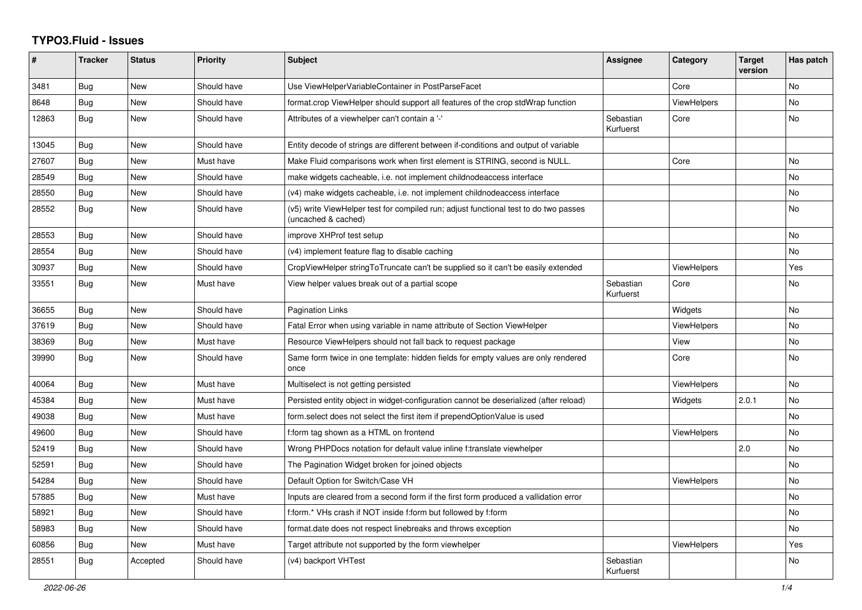## **TYPO3.Fluid - Issues**

| ∦     | <b>Tracker</b> | <b>Status</b> | <b>Priority</b> | <b>Subject</b>                                                                                              | Assignee               | Category           | <b>Target</b><br>version | Has patch |
|-------|----------------|---------------|-----------------|-------------------------------------------------------------------------------------------------------------|------------------------|--------------------|--------------------------|-----------|
| 3481  | Bug            | New           | Should have     | Use ViewHelperVariableContainer in PostParseFacet                                                           |                        | Core               |                          | No        |
| 8648  | <b>Bug</b>     | New           | Should have     | format.crop ViewHelper should support all features of the crop stdWrap function                             |                        | <b>ViewHelpers</b> |                          | No        |
| 12863 | <b>Bug</b>     | <b>New</b>    | Should have     | Attributes of a viewhelper can't contain a '-'                                                              | Sebastian<br>Kurfuerst | Core               |                          | No.       |
| 13045 | Bug            | New           | Should have     | Entity decode of strings are different between if-conditions and output of variable                         |                        |                    |                          |           |
| 27607 | Bug            | New           | Must have       | Make Fluid comparisons work when first element is STRING, second is NULL.                                   |                        | Core               |                          | No        |
| 28549 | Bug            | New           | Should have     | make widgets cacheable, i.e. not implement childnodeaccess interface                                        |                        |                    |                          | No        |
| 28550 | Bug            | <b>New</b>    | Should have     | (v4) make widgets cacheable, i.e. not implement childnodeaccess interface                                   |                        |                    |                          | No        |
| 28552 | Bug            | New           | Should have     | (v5) write ViewHelper test for compiled run; adjust functional test to do two passes<br>(uncached & cached) |                        |                    |                          | No        |
| 28553 | Bug            | New           | Should have     | improve XHProf test setup                                                                                   |                        |                    |                          | No        |
| 28554 | <b>Bug</b>     | <b>New</b>    | Should have     | (v4) implement feature flag to disable caching                                                              |                        |                    |                          | No.       |
| 30937 | Bug            | New           | Should have     | CropViewHelper stringToTruncate can't be supplied so it can't be easily extended                            |                        | ViewHelpers        |                          | Yes       |
| 33551 | <b>Bug</b>     | New           | Must have       | View helper values break out of a partial scope                                                             | Sebastian<br>Kurfuerst | Core               |                          | No        |
| 36655 | Bug            | <b>New</b>    | Should have     | Pagination Links                                                                                            |                        | Widgets            |                          | No        |
| 37619 | Bug            | New           | Should have     | Fatal Error when using variable in name attribute of Section ViewHelper                                     |                        | <b>ViewHelpers</b> |                          | No        |
| 38369 | Bug            | New           | Must have       | Resource ViewHelpers should not fall back to request package                                                |                        | View               |                          | No        |
| 39990 | Bug            | New           | Should have     | Same form twice in one template: hidden fields for empty values are only rendered<br>once                   |                        | Core               |                          | No        |
| 40064 | <b>Bug</b>     | <b>New</b>    | Must have       | Multiselect is not getting persisted                                                                        |                        | <b>ViewHelpers</b> |                          | No.       |
| 45384 | Bug            | New           | Must have       | Persisted entity object in widget-configuration cannot be deserialized (after reload)                       |                        | Widgets            | 2.0.1                    | No        |
| 49038 | Bug            | <b>New</b>    | Must have       | form.select does not select the first item if prependOptionValue is used                                    |                        |                    |                          | No        |
| 49600 | Bug            | New           | Should have     | f:form tag shown as a HTML on frontend                                                                      |                        | ViewHelpers        |                          | No        |
| 52419 | Bug            | New           | Should have     | Wrong PHPDocs notation for default value inline f:translate viewhelper                                      |                        |                    | 2.0                      | No        |
| 52591 | Bug            | New           | Should have     | The Pagination Widget broken for joined objects                                                             |                        |                    |                          | No        |
| 54284 | Bug            | New           | Should have     | Default Option for Switch/Case VH                                                                           |                        | <b>ViewHelpers</b> |                          | No        |
| 57885 | Bug            | <b>New</b>    | Must have       | Inputs are cleared from a second form if the first form produced a vallidation error                        |                        |                    |                          | No        |
| 58921 | Bug            | New           | Should have     | f:form.* VHs crash if NOT inside f:form but followed by f:form                                              |                        |                    |                          | No        |
| 58983 | Bug            | New           | Should have     | format.date does not respect linebreaks and throws exception                                                |                        |                    |                          | No        |
| 60856 | <b>Bug</b>     | New           | Must have       | Target attribute not supported by the form viewhelper                                                       |                        | <b>ViewHelpers</b> |                          | Yes       |
| 28551 | Bug            | Accepted      | Should have     | (v4) backport VHTest                                                                                        | Sebastian<br>Kurfuerst |                    |                          | No.       |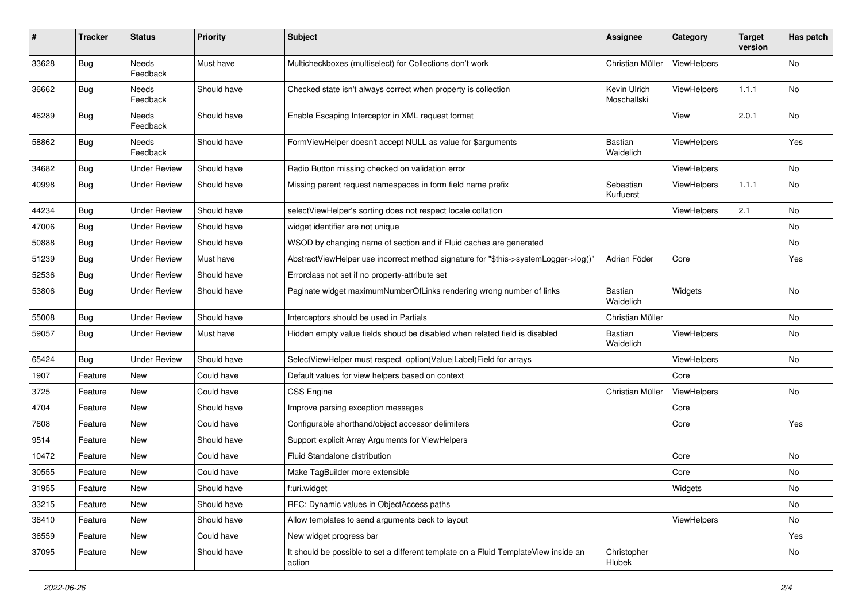| $\sharp$ | <b>Tracker</b> | <b>Status</b>            | <b>Priority</b> | <b>Subject</b>                                                                                | <b>Assignee</b>             | Category           | <b>Target</b><br>version | Has patch |
|----------|----------------|--------------------------|-----------------|-----------------------------------------------------------------------------------------------|-----------------------------|--------------------|--------------------------|-----------|
| 33628    | <b>Bug</b>     | <b>Needs</b><br>Feedback | Must have       | Multicheckboxes (multiselect) for Collections don't work                                      | Christian Müller            | ViewHelpers        |                          | <b>No</b> |
| 36662    | <b>Bug</b>     | Needs<br>Feedback        | Should have     | Checked state isn't always correct when property is collection                                | Kevin Ulrich<br>Moschallski | ViewHelpers        | 1.1.1                    | No        |
| 46289    | <b>Bug</b>     | Needs<br>Feedback        | Should have     | Enable Escaping Interceptor in XML request format                                             |                             | View               | 2.0.1                    | No        |
| 58862    | Bug            | Needs<br>Feedback        | Should have     | FormViewHelper doesn't accept NULL as value for \$arguments                                   | Bastian<br>Waidelich        | <b>ViewHelpers</b> |                          | Yes       |
| 34682    | <b>Bug</b>     | <b>Under Review</b>      | Should have     | Radio Button missing checked on validation error                                              |                             | ViewHelpers        |                          | No        |
| 40998    | Bug            | <b>Under Review</b>      | Should have     | Missing parent request namespaces in form field name prefix                                   | Sebastian<br>Kurfuerst      | ViewHelpers        | 1.1.1                    | No        |
| 44234    | Bug            | <b>Under Review</b>      | Should have     | selectViewHelper's sorting does not respect locale collation                                  |                             | ViewHelpers        | 2.1                      | No        |
| 47006    | <b>Bug</b>     | <b>Under Review</b>      | Should have     | widget identifier are not unique                                                              |                             |                    |                          | No        |
| 50888    | Bug            | <b>Under Review</b>      | Should have     | WSOD by changing name of section and if Fluid caches are generated                            |                             |                    |                          | No        |
| 51239    | <b>Bug</b>     | <b>Under Review</b>      | Must have       | AbstractViewHelper use incorrect method signature for "\$this->systemLogger->log()"           | Adrian Föder                | Core               |                          | Yes       |
| 52536    | Bug            | <b>Under Review</b>      | Should have     | Errorclass not set if no property-attribute set                                               |                             |                    |                          |           |
| 53806    | <b>Bug</b>     | <b>Under Review</b>      | Should have     | Paginate widget maximumNumberOfLinks rendering wrong number of links                          | Bastian<br>Waidelich        | Widgets            |                          | No        |
| 55008    | Bug            | <b>Under Review</b>      | Should have     | Interceptors should be used in Partials                                                       | Christian Müller            |                    |                          | No        |
| 59057    | Bug            | <b>Under Review</b>      | Must have       | Hidden empty value fields shoud be disabled when related field is disabled                    | Bastian<br>Waidelich        | <b>ViewHelpers</b> |                          | No        |
| 65424    | Bug            | <b>Under Review</b>      | Should have     | SelectViewHelper must respect option(Value Label)Field for arrays                             |                             | ViewHelpers        |                          | No        |
| 1907     | Feature        | New                      | Could have      | Default values for view helpers based on context                                              |                             | Core               |                          |           |
| 3725     | Feature        | New                      | Could have      | CSS Engine                                                                                    | Christian Müller            | ViewHelpers        |                          | No        |
| 4704     | Feature        | New                      | Should have     | Improve parsing exception messages                                                            |                             | Core               |                          |           |
| 7608     | Feature        | New                      | Could have      | Configurable shorthand/object accessor delimiters                                             |                             | Core               |                          | Yes       |
| 9514     | Feature        | New                      | Should have     | Support explicit Array Arguments for ViewHelpers                                              |                             |                    |                          |           |
| 10472    | Feature        | <b>New</b>               | Could have      | Fluid Standalone distribution                                                                 |                             | Core               |                          | No        |
| 30555    | Feature        | New                      | Could have      | Make TagBuilder more extensible                                                               |                             | Core               |                          | No        |
| 31955    | Feature        | New                      | Should have     | f:uri.widget                                                                                  |                             | Widgets            |                          | No        |
| 33215    | Feature        | New                      | Should have     | RFC: Dynamic values in ObjectAccess paths                                                     |                             |                    |                          | No        |
| 36410    | Feature        | New                      | Should have     | Allow templates to send arguments back to layout                                              |                             | ViewHelpers        |                          | No        |
| 36559    | Feature        | New                      | Could have      | New widget progress bar                                                                       |                             |                    |                          | Yes       |
| 37095    | Feature        | New                      | Should have     | It should be possible to set a different template on a Fluid TemplateView inside an<br>action | Christopher<br>Hlubek       |                    |                          | No        |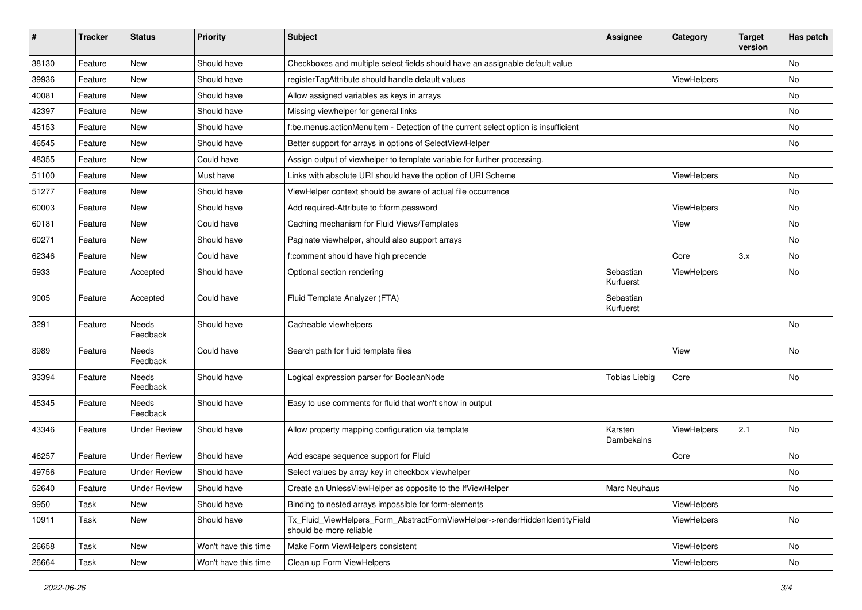| #     | <b>Tracker</b> | <b>Status</b>            | <b>Priority</b>      | Subject                                                                                                | <b>Assignee</b>        | Category    | <b>Target</b><br>version | Has patch     |
|-------|----------------|--------------------------|----------------------|--------------------------------------------------------------------------------------------------------|------------------------|-------------|--------------------------|---------------|
| 38130 | Feature        | <b>New</b>               | Should have          | Checkboxes and multiple select fields should have an assignable default value                          |                        |             |                          | <b>No</b>     |
| 39936 | Feature        | New                      | Should have          | registerTagAttribute should handle default values                                                      |                        | ViewHelpers |                          | No            |
| 40081 | Feature        | New                      | Should have          | Allow assigned variables as keys in arrays                                                             |                        |             |                          | No            |
| 42397 | Feature        | New                      | Should have          | Missing viewhelper for general links                                                                   |                        |             |                          | No            |
| 45153 | Feature        | New                      | Should have          | f:be.menus.actionMenuItem - Detection of the current select option is insufficient                     |                        |             |                          | No            |
| 46545 | Feature        | New                      | Should have          | Better support for arrays in options of SelectViewHelper                                               |                        |             |                          | No            |
| 48355 | Feature        | New                      | Could have           | Assign output of viewhelper to template variable for further processing.                               |                        |             |                          |               |
| 51100 | Feature        | New                      | Must have            | Links with absolute URI should have the option of URI Scheme                                           |                        | ViewHelpers |                          | No            |
| 51277 | Feature        | New                      | Should have          | ViewHelper context should be aware of actual file occurrence                                           |                        |             |                          | No            |
| 60003 | Feature        | New                      | Should have          | Add required-Attribute to f:form.password                                                              |                        | ViewHelpers |                          | No            |
| 60181 | Feature        | New                      | Could have           | Caching mechanism for Fluid Views/Templates                                                            |                        | View        |                          | <b>No</b>     |
| 60271 | Feature        | New                      | Should have          | Paginate viewhelper, should also support arrays                                                        |                        |             |                          | No            |
| 62346 | Feature        | New                      | Could have           | f:comment should have high precende                                                                    |                        | Core        | 3.x                      | No            |
| 5933  | Feature        | Accepted                 | Should have          | Optional section rendering                                                                             | Sebastian<br>Kurfuerst | ViewHelpers |                          | No            |
| 9005  | Feature        | Accepted                 | Could have           | Fluid Template Analyzer (FTA)                                                                          | Sebastian<br>Kurfuerst |             |                          |               |
| 3291  | Feature        | Needs<br>Feedback        | Should have          | Cacheable viewhelpers                                                                                  |                        |             |                          | <b>No</b>     |
| 8989  | Feature        | Needs<br>Feedback        | Could have           | Search path for fluid template files                                                                   |                        | View        |                          | No            |
| 33394 | Feature        | <b>Needs</b><br>Feedback | Should have          | Logical expression parser for BooleanNode                                                              | <b>Tobias Liebig</b>   | Core        |                          | <b>No</b>     |
| 45345 | Feature        | Needs<br>Feedback        | Should have          | Easy to use comments for fluid that won't show in output                                               |                        |             |                          |               |
| 43346 | Feature        | <b>Under Review</b>      | Should have          | Allow property mapping configuration via template                                                      | Karsten<br>Dambekalns  | ViewHelpers | 2.1                      | <b>No</b>     |
| 46257 | Feature        | <b>Under Review</b>      | Should have          | Add escape sequence support for Fluid                                                                  |                        | Core        |                          | <b>No</b>     |
| 49756 | Feature        | <b>Under Review</b>      | Should have          | Select values by array key in checkbox viewhelper                                                      |                        |             |                          | No            |
| 52640 | Feature        | <b>Under Review</b>      | Should have          | Create an UnlessViewHelper as opposite to the IfViewHelper                                             | Marc Neuhaus           |             |                          | $\mathsf{No}$ |
| 9950  | Task           | New                      | Should have          | Binding to nested arrays impossible for form-elements                                                  |                        | ViewHelpers |                          |               |
| 10911 | Task           | New                      | Should have          | Tx Fluid ViewHelpers Form AbstractFormViewHelper->renderHiddenIdentityField<br>should be more reliable |                        | ViewHelpers |                          | No            |
| 26658 | Task           | New                      | Won't have this time | Make Form ViewHelpers consistent                                                                       |                        | ViewHelpers |                          | No            |
| 26664 | Task           | New                      | Won't have this time | Clean up Form ViewHelpers                                                                              |                        | ViewHelpers |                          | No            |